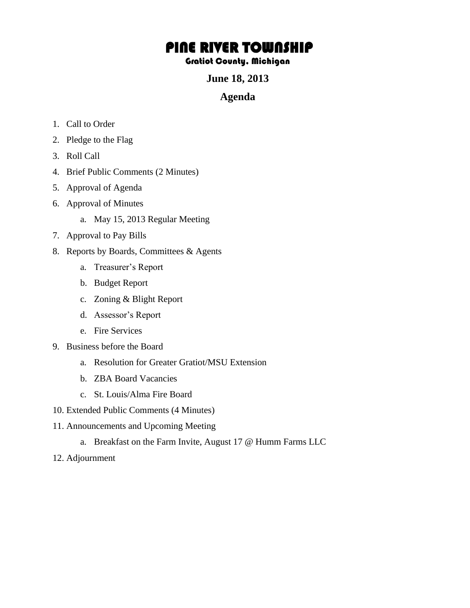## PINE RIVER TOWNSHIP

## Gratiot County, Michigan

**June 18, 2013** 

## **Agenda**

- 1. Call to Order
- 2. Pledge to the Flag
- 3. Roll Call
- 4. Brief Public Comments (2 Minutes)
- 5. Approval of Agenda
- 6. Approval of Minutes
	- a. May 15, 2013 Regular Meeting
- 7. Approval to Pay Bills
- 8. Reports by Boards, Committees & Agents
	- a. Treasurer's Report
	- b. Budget Report
	- c. Zoning & Blight Report
	- d. Assessor's Report
	- e. Fire Services
- 9. Business before the Board
	- a. Resolution for Greater Gratiot/MSU Extension
	- b. ZBA Board Vacancies
	- c. St. Louis/Alma Fire Board
- 10. Extended Public Comments (4 Minutes)
- 11. Announcements and Upcoming Meeting
	- a. Breakfast on the Farm Invite, August 17 @ Humm Farms LLC
- 12. Adjournment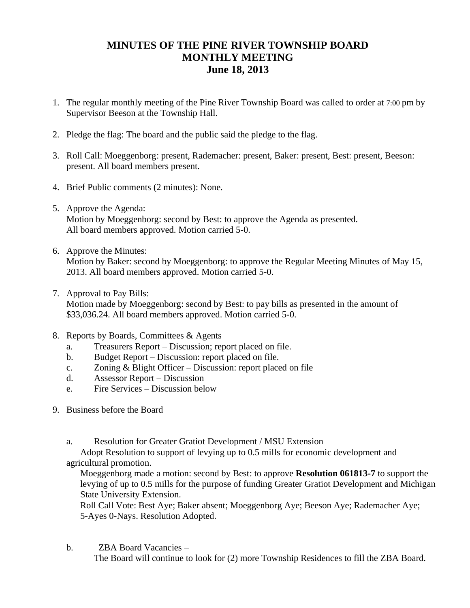## **MINUTES OF THE PINE RIVER TOWNSHIP BOARD MONTHLY MEETING June 18, 2013**

- 1. The regular monthly meeting of the Pine River Township Board was called to order at 7:00 pm by Supervisor Beeson at the Township Hall.
- 2. Pledge the flag: The board and the public said the pledge to the flag.
- 3. Roll Call: Moeggenborg: present, Rademacher: present, Baker: present, Best: present, Beeson: present. All board members present.
- 4. Brief Public comments (2 minutes): None.
- 5. Approve the Agenda: Motion by Moeggenborg: second by Best: to approve the Agenda as presented. All board members approved. Motion carried 5-0.
- 6. Approve the Minutes: Motion by Baker: second by Moeggenborg: to approve the Regular Meeting Minutes of May 15, 2013. All board members approved. Motion carried 5-0.
- 7. Approval to Pay Bills:

Motion made by Moeggenborg: second by Best: to pay bills as presented in the amount of \$33,036.24. All board members approved. Motion carried 5-0.

- 8. Reports by Boards, Committees & Agents
	- a. Treasurers Report Discussion; report placed on file.
	- b. Budget Report Discussion: report placed on file.
	- c. Zoning & Blight Officer Discussion: report placed on file
	- d. Assessor Report Discussion
	- e. Fire Services Discussion below
- 9. Business before the Board
	- a. Resolution for Greater Gratiot Development / MSU Extension

Adopt Resolution to support of levying up to 0.5 mills for economic development and agricultural promotion.

Moeggenborg made a motion: second by Best: to approve **Resolution 061813-7** to support the levying of up to 0.5 mills for the purpose of funding Greater Gratiot Development and Michigan State University Extension.

Roll Call Vote: Best Aye; Baker absent; Moeggenborg Aye; Beeson Aye; Rademacher Aye; 5-Ayes 0-Nays. Resolution Adopted.

b. ZBA Board Vacancies – The Board will continue to look for (2) more Township Residences to fill the ZBA Board.